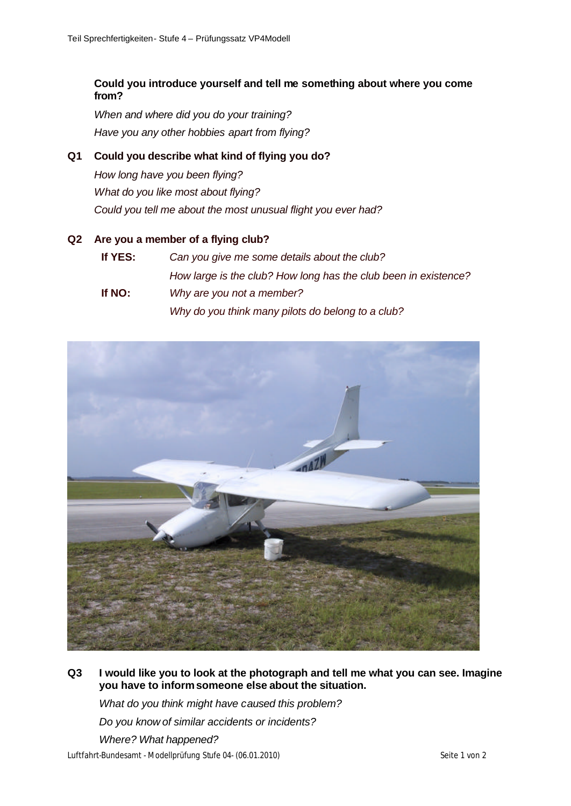# **Could you introduce yourself and tell me something about where you come from?**

*When and where did you do your training? Have you any other hobbies apart from flying?*

# **Q1 Could you describe what kind of flying you do?**

*How long have you been flying? What do you like most about flying? Could you tell me about the most unusual flight you ever had?*

#### **Q2 Are you a member of a flying club?**

**If YES:** *Can you give me some details about the club? How large is the club? How long has the club been in existence?* **If NO:** *Why are you not a member? Why do you think many pilots do belong to a club?*



**Q3 I would like you to look at the photograph and tell me what you can see. Imagine you have to inform someone else about the situation.**

*What do you think might have caused this problem? Do you know of similar accidents or incidents? Where? What happened?*

Luftfahrt-Bundesamt - Modellprüfung Stufe 04- (06.01.2010) Seite 1 von 2